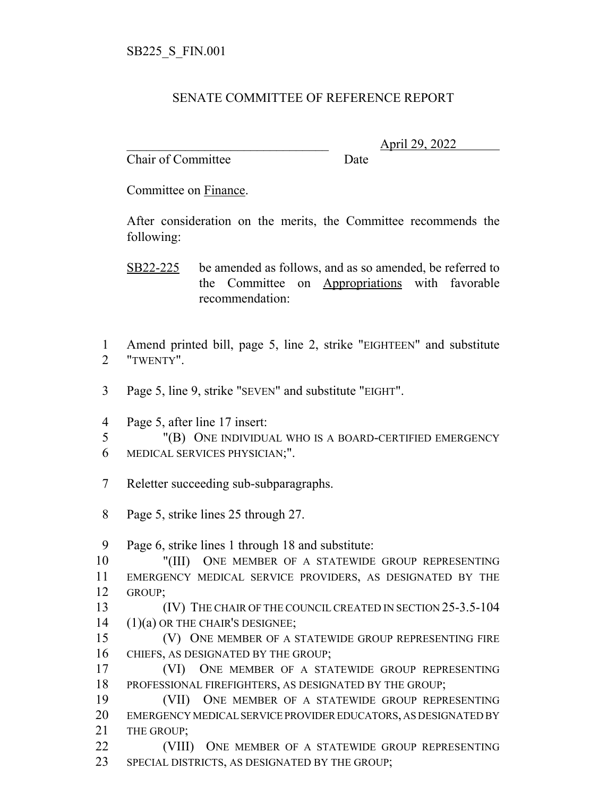## SENATE COMMITTEE OF REFERENCE REPORT

Chair of Committee Date

\_\_\_\_\_\_\_\_\_\_\_\_\_\_\_\_\_\_\_\_\_\_\_\_\_\_\_\_\_\_\_ April 29, 2022

Committee on Finance.

After consideration on the merits, the Committee recommends the following:

SB22-225 be amended as follows, and as so amended, be referred to the Committee on Appropriations with favorable recommendation:

 Amend printed bill, page 5, line 2, strike "EIGHTEEN" and substitute "TWENTY".

Page 5, line 9, strike "SEVEN" and substitute "EIGHT".

Page 5, after line 17 insert:

 "(B) ONE INDIVIDUAL WHO IS A BOARD-CERTIFIED EMERGENCY MEDICAL SERVICES PHYSICIAN;".

- Reletter succeeding sub-subparagraphs.
- Page 5, strike lines 25 through 27.

Page 6, strike lines 1 through 18 and substitute:

 "(III) ONE MEMBER OF A STATEWIDE GROUP REPRESENTING EMERGENCY MEDICAL SERVICE PROVIDERS, AS DESIGNATED BY THE GROUP;

**ISLUES** (IV) THE CHAIR OF THE COUNCIL CREATED IN SECTION 25-3.5-104 (1)(a) OR THE CHAIR'S DESIGNEE;

 (V) ONE MEMBER OF A STATEWIDE GROUP REPRESENTING FIRE CHIEFS, AS DESIGNATED BY THE GROUP;

 (VI) ONE MEMBER OF A STATEWIDE GROUP REPRESENTING PROFESSIONAL FIREFIGHTERS, AS DESIGNATED BY THE GROUP;

 (VII) ONE MEMBER OF A STATEWIDE GROUP REPRESENTING EMERGENCY MEDICAL SERVICE PROVIDER EDUCATORS, AS DESIGNATED BY 21 THE GROUP:

**(VIII)** ONE MEMBER OF A STATEWIDE GROUP REPRESENTING SPECIAL DISTRICTS, AS DESIGNATED BY THE GROUP;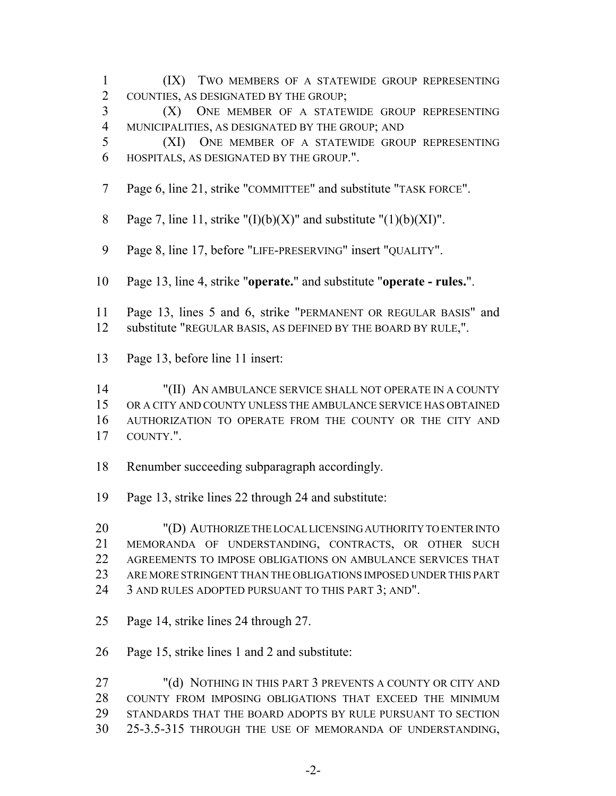- (IX) TWO MEMBERS OF A STATEWIDE GROUP REPRESENTING COUNTIES, AS DESIGNATED BY THE GROUP; (X) ONE MEMBER OF A STATEWIDE GROUP REPRESENTING MUNICIPALITIES, AS DESIGNATED BY THE GROUP; AND (XI) ONE MEMBER OF A STATEWIDE GROUP REPRESENTING HOSPITALS, AS DESIGNATED BY THE GROUP.". Page 6, line 21, strike "COMMITTEE" and substitute "TASK FORCE". 8 Page 7, line 11, strike " $(I)(b)(X)$ " and substitute " $(1)(b)(XI)$ ". Page 8, line 17, before "LIFE-PRESERVING" insert "QUALITY". Page 13, line 4, strike "**operate.**" and substitute "**operate - rules.**". Page 13, lines 5 and 6, strike "PERMANENT OR REGULAR BASIS" and substitute "REGULAR BASIS, AS DEFINED BY THE BOARD BY RULE,". Page 13, before line 11 insert: "(II) AN AMBULANCE SERVICE SHALL NOT OPERATE IN A COUNTY OR A CITY AND COUNTY UNLESS THE AMBULANCE SERVICE HAS OBTAINED AUTHORIZATION TO OPERATE FROM THE COUNTY OR THE CITY AND COUNTY.". Renumber succeeding subparagraph accordingly. Page 13, strike lines 22 through 24 and substitute: "(D) AUTHORIZE THE LOCAL LICENSING AUTHORITY TO ENTER INTO MEMORANDA OF UNDERSTANDING, CONTRACTS, OR OTHER SUCH AGREEMENTS TO IMPOSE OBLIGATIONS ON AMBULANCE SERVICES THAT ARE MORE STRINGENT THAN THE OBLIGATIONS IMPOSED UNDER THIS PART 24 3 AND RULES ADOPTED PURSUANT TO THIS PART 3; AND". Page 14, strike lines 24 through 27. Page 15, strike lines 1 and 2 and substitute: "(d) NOTHING IN THIS PART 3 PREVENTS A COUNTY OR CITY AND COUNTY FROM IMPOSING OBLIGATIONS THAT EXCEED THE MINIMUM
- STANDARDS THAT THE BOARD ADOPTS BY RULE PURSUANT TO SECTION 25-3.5-315 THROUGH THE USE OF MEMORANDA OF UNDERSTANDING,